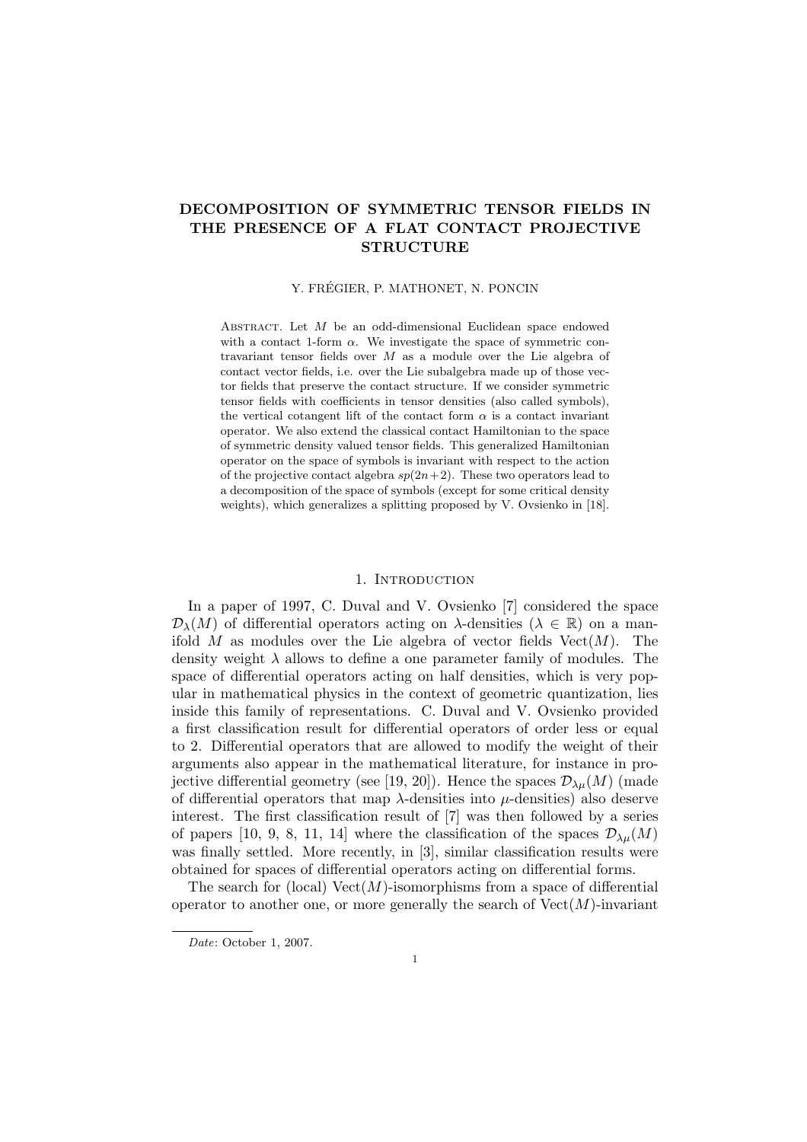# DECOMPOSITION OF SYMMETRIC TENSOR FIELDS IN THE PRESENCE OF A FLAT CONTACT PROJECTIVE **STRUCTURE**

### Y. FRÉGIER, P. MATHONET, N. PONCIN

ABSTRACT. Let  $M$  be an odd-dimensional Euclidean space endowed with a contact 1-form  $\alpha$ . We investigate the space of symmetric contravariant tensor fields over  $M$  as a module over the Lie algebra of contact vector fields, i.e. over the Lie subalgebra made up of those vector fields that preserve the contact structure. If we consider symmetric tensor fields with coefficients in tensor densities (also called symbols), the vertical cotangent lift of the contact form  $\alpha$  is a contact invariant operator. We also extend the classical contact Hamiltonian to the space of symmetric density valued tensor fields. This generalized Hamiltonian operator on the space of symbols is invariant with respect to the action of the projective contact algebra  $sp(2n+2)$ . These two operators lead to a decomposition of the space of symbols (except for some critical density weights), which generalizes a splitting proposed by V. Ovsienko in [18].

#### 1. INTRODUCTION

In a paper of 1997, C. Duval and V. Ovsienko [7] considered the space  $\mathcal{D}_{\lambda}(M)$  of differential operators acting on  $\lambda$ -densities  $(\lambda \in \mathbb{R})$  on a manifold M as modules over the Lie algebra of vector fields  $Vect(M)$ . The density weight  $\lambda$  allows to define a one parameter family of modules. The space of differential operators acting on half densities, which is very popular in mathematical physics in the context of geometric quantization, lies inside this family of representations. C. Duval and V. Ovsienko provided a first classification result for differential operators of order less or equal to 2. Differential operators that are allowed to modify the weight of their arguments also appear in the mathematical literature, for instance in projective differential geometry (see [19, 20]). Hence the spaces  $\mathcal{D}_{\lambda\mu}(M)$  (made of differential operators that map  $\lambda$ -densities into  $\mu$ -densities) also deserve interest. The first classification result of [7] was then followed by a series of papers [10, 9, 8, 11, 14] where the classification of the spaces  $\mathcal{D}_{\lambda\mu}(M)$ was finally settled. More recently, in [3], similar classification results were obtained for spaces of differential operators acting on differential forms.

The search for (local)  $Vect(M)$ -isomorphisms from a space of differential operator to another one, or more generally the search of  $Vect(M)$ -invariant

Date: October 1, 2007.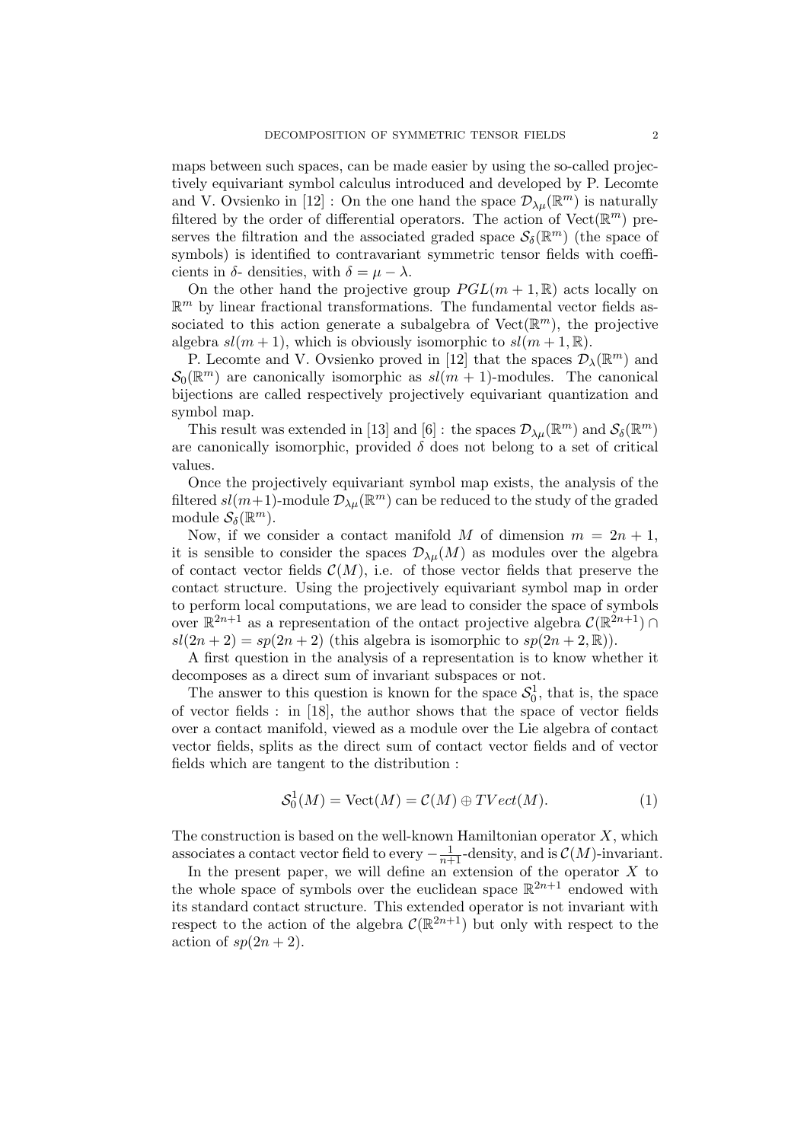maps between such spaces, can be made easier by using the so-called projectively equivariant symbol calculus introduced and developed by P. Lecomte and V. Ovsienko in [12]: On the one hand the space  $\mathcal{D}_{\lambda\mu}(\mathbb{R}^m)$  is naturally filtered by the order of differential operators. The action of  $Vect(\mathbb{R}^m)$  preserves the filtration and the associated graded space  $\mathcal{S}_{\delta}(\mathbb{R}^m)$  (the space of symbols) is identified to contravariant symmetric tensor fields with coefficients in  $\delta$ - densities, with  $\delta = \mu - \lambda$ .

On the other hand the projective group  $PGL(m+1,\mathbb{R})$  acts locally on  $\mathbb{R}^m$  by linear fractional transformations. The fundamental vector fields associated to this action generate a subalgebra of  $Vect(\mathbb{R}^m)$ , the projective algebra  $sl(m + 1)$ , which is obviously isomorphic to  $sl(m + 1, \mathbb{R})$ .

P. Lecomte and V. Ovsienko proved in [12] that the spaces  $\mathcal{D}_{\lambda}(\mathbb{R}^m)$  and  $\mathcal{S}_0(\mathbb{R}^m)$  are canonically isomorphic as  $sl(m+1)$ -modules. The canonical bijections are called respectively projectively equivariant quantization and symbol map.

This result was extended in [13] and [6] : the spaces  $\mathcal{D}_{\lambda\mu}(\mathbb{R}^m)$  and  $\mathcal{S}_{\delta}(\mathbb{R}^m)$ are canonically isomorphic, provided  $\delta$  does not belong to a set of critical values.

Once the projectively equivariant symbol map exists, the analysis of the filtered  $sl(m+1)$ -module  $\mathcal{D}_{\lambda\mu}(\mathbb{R}^m)$  can be reduced to the study of the graded module  $\mathcal{S}_{\delta}(\mathbb{R}^m)$ .

Now, if we consider a contact manifold M of dimension  $m = 2n + 1$ , it is sensible to consider the spaces  $\mathcal{D}_{\lambda\mu}(M)$  as modules over the algebra of contact vector fields  $\mathcal{C}(M)$ , i.e. of those vector fields that preserve the contact structure. Using the projectively equivariant symbol map in order to perform local computations, we are lead to consider the space of symbols over  $\mathbb{R}^{2n+1}$  as a representation of the ontact projective algebra  $\mathcal{C}(\mathbb{R}^{2n+1}) \cap$  $sl(2n+2) = sp(2n+2)$  (this algebra is isomorphic to  $sp(2n+2,\mathbb{R})$ ).

A first question in the analysis of a representation is to know whether it decomposes as a direct sum of invariant subspaces or not.

The answer to this question is known for the space  $S_0^1$ , that is, the space of vector fields : in [18], the author shows that the space of vector fields over a contact manifold, viewed as a module over the Lie algebra of contact vector fields, splits as the direct sum of contact vector fields and of vector fields which are tangent to the distribution :

$$
S_0^1(M) = \text{Vect}(M) = \mathcal{C}(M) \oplus TVect(M). \tag{1}
$$

The construction is based on the well-known Hamiltonian operator  $X$ , which associates a contact vector field to every  $-\frac{1}{n+1}$ -density, and is  $\mathcal{C}(M)$ -invariant.

In the present paper, we will define an extension of the operator  $X$  to the whole space of symbols over the euclidean space  $\mathbb{R}^{2n+1}$  endowed with its standard contact structure. This extended operator is not invariant with respect to the action of the algebra  $\mathcal{C}(\mathbb{R}^{2n+1})$  but only with respect to the action of  $sp(2n + 2)$ .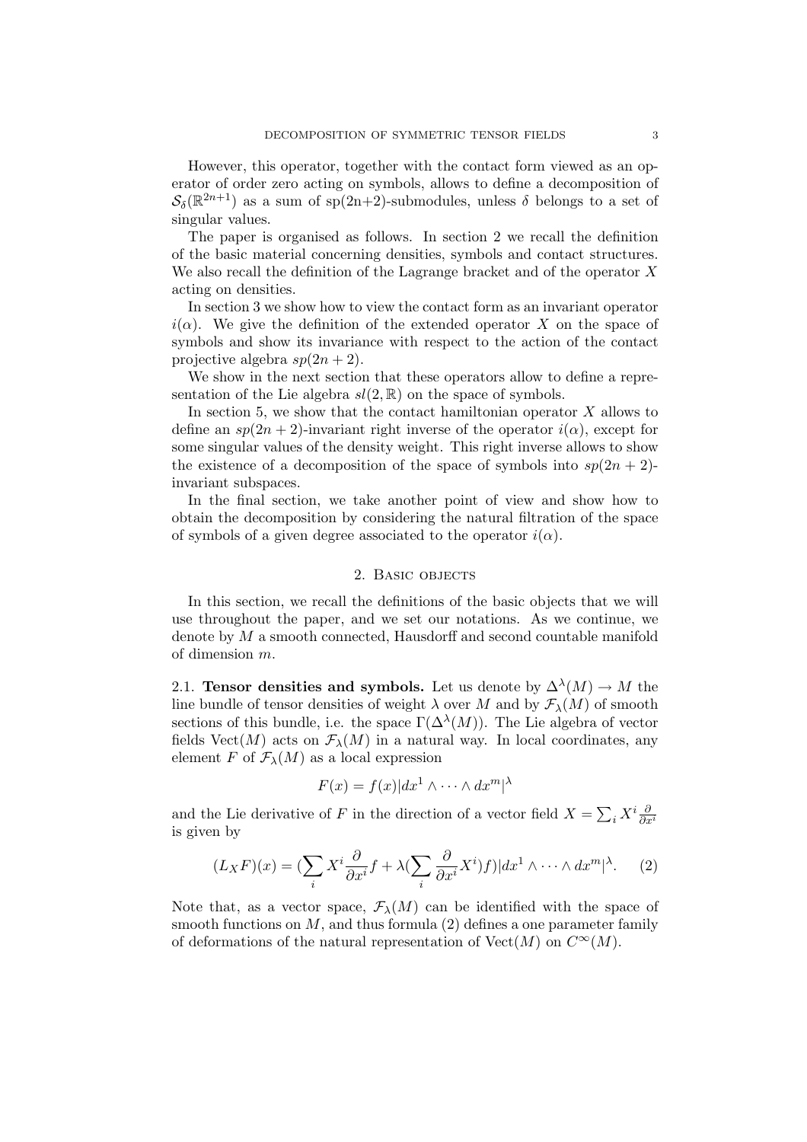However, this operator, together with the contact form viewed as an operator of order zero acting on symbols, allows to define a decomposition of  $\mathcal{S}_{\delta}(\mathbb{R}^{2n+1})$  as a sum of sp(2n+2)-submodules, unless  $\delta$  belongs to a set of singular values.

The paper is organised as follows. In section 2 we recall the definition of the basic material concerning densities, symbols and contact structures. We also recall the definition of the Lagrange bracket and of the operator X acting on densities.

In section 3 we show how to view the contact form as an invariant operator  $i(\alpha)$ . We give the definition of the extended operator X on the space of symbols and show its invariance with respect to the action of the contact projective algebra  $sp(2n+2)$ .

We show in the next section that these operators allow to define a representation of the Lie algebra  $sl(2, \mathbb{R})$  on the space of symbols.

In section 5, we show that the contact hamiltonian operator  $X$  allows to define an  $sp(2n + 2)$ -invariant right inverse of the operator  $i(\alpha)$ , except for some singular values of the density weight. This right inverse allows to show the existence of a decomposition of the space of symbols into  $sp(2n + 2)$ invariant subspaces.

In the final section, we take another point of view and show how to obtain the decomposition by considering the natural filtration of the space of symbols of a given degree associated to the operator  $i(\alpha)$ .

## 2. Basic objects

In this section, we recall the definitions of the basic objects that we will use throughout the paper, and we set our notations. As we continue, we denote by M a smooth connected, Hausdorff and second countable manifold of dimension m.

2.1. Tensor densities and symbols. Let us denote by  $\Delta^{\lambda}(M) \to M$  the line bundle of tensor densities of weight  $\lambda$  over M and by  $\mathcal{F}_{\lambda}(M)$  of smooth sections of this bundle, i.e. the space  $\Gamma(\Delta^{\lambda}(M))$ . The Lie algebra of vector fields Vect(M) acts on  $\mathcal{F}_{\lambda}(M)$  in a natural way. In local coordinates, any element F of  $\mathcal{F}_{\lambda}(M)$  as a local expression

$$
F(x) = f(x)|dx^1 \wedge \dots \wedge dx^m|^{\lambda}
$$

and the Lie derivative of F in the direction of a vector field  $X =$  $\sum_i X^i \frac{\partial}{\partial x^i}$ is given by

$$
(L_X F)(x) = \left(\sum_i X^i \frac{\partial}{\partial x^i} f + \lambda \left(\sum_i \frac{\partial}{\partial x^i} X^i\right) f\right) |dx^1 \wedge \dots \wedge dx^m|^{\lambda}.
$$
 (2)

Note that, as a vector space,  $\mathcal{F}_{\lambda}(M)$  can be identified with the space of smooth functions on  $M$ , and thus formula (2) defines a one parameter family of deformations of the natural representation of  $Vect(M)$  on  $C^{\infty}(M)$ .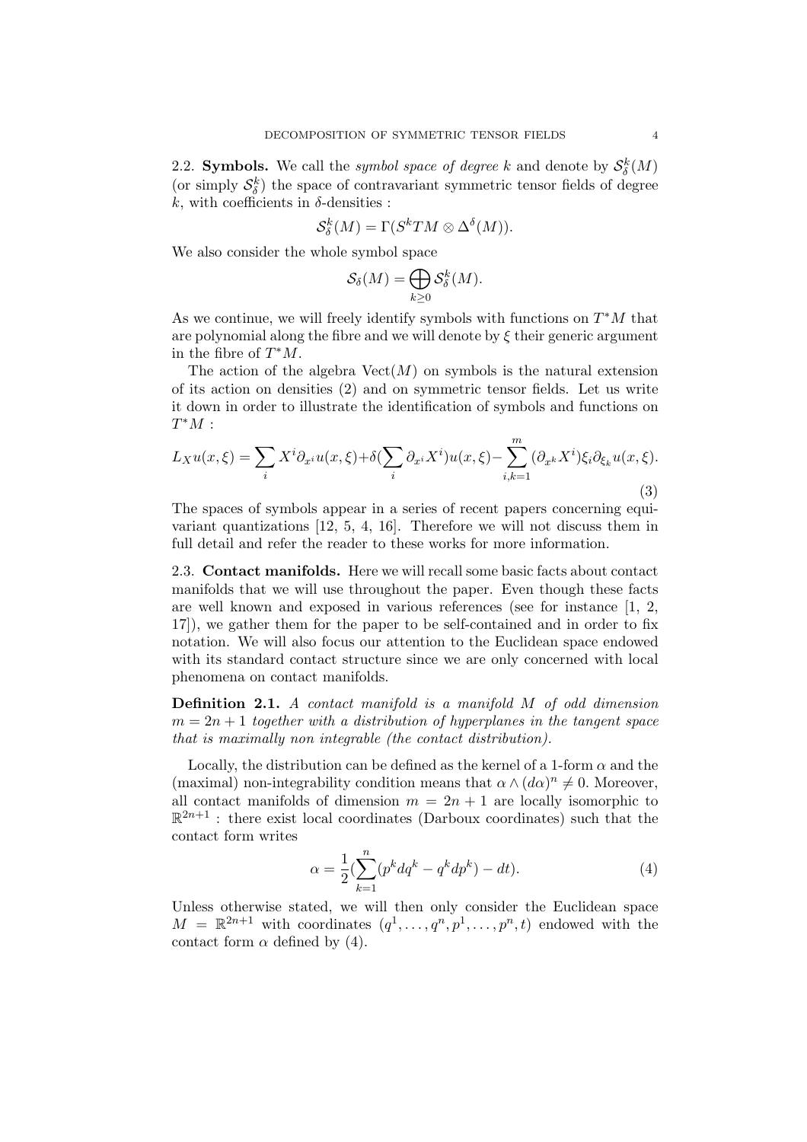2.2. Symbols. We call the *symbol space of degree* k and denote by  $S_{\delta}^k(M)$ (or simply  $\mathcal{S}_{\delta}^k$ ) the space of contravariant symmetric tensor fields of degree k, with coefficients in  $\delta$ -densities :

$$
\mathcal{S}_{\delta}^{k}(M) = \Gamma(\mathcal{S}^{k}TM \otimes \Delta^{\delta}(M)).
$$

We also consider the whole symbol space

$$
\mathcal{S}_{\delta}(M) = \bigoplus_{k \geq 0} \mathcal{S}_{\delta}^{k}(M).
$$

As we continue, we will freely identify symbols with functions on  $T^*M$  that are polynomial along the fibre and we will denote by  $\xi$  their generic argument in the fibre of  $T^*M$ .

The action of the algebra  $Vect(M)$  on symbols is the natural extension of its action on densities (2) and on symmetric tensor fields. Let us write it down in order to illustrate the identification of symbols and functions on  $T^*M$  :

$$
L_X u(x,\xi) = \sum_i X^i \partial_{x^i} u(x,\xi) + \delta(\sum_i \partial_{x^i} X^i) u(x,\xi) - \sum_{i,k=1}^m (\partial_{x^k} X^i) \xi_i \partial_{\xi_k} u(x,\xi).
$$
\n(3)

The spaces of symbols appear in a series of recent papers concerning equivariant quantizations [12, 5, 4, 16]. Therefore we will not discuss them in full detail and refer the reader to these works for more information.

2.3. Contact manifolds. Here we will recall some basic facts about contact manifolds that we will use throughout the paper. Even though these facts are well known and exposed in various references (see for instance [1, 2, 17]), we gather them for the paper to be self-contained and in order to fix notation. We will also focus our attention to the Euclidean space endowed with its standard contact structure since we are only concerned with local phenomena on contact manifolds.

Definition 2.1. A contact manifold is a manifold M of odd dimension  $m = 2n + 1$  together with a distribution of hyperplanes in the tangent space that is maximally non integrable (the contact distribution).

Locally, the distribution can be defined as the kernel of a 1-form  $\alpha$  and the (maximal) non-integrability condition means that  $\alpha \wedge (d\alpha)^n \neq 0$ . Moreover, all contact manifolds of dimension  $m = 2n + 1$  are locally isomorphic to  $\mathbb{R}^{2n+1}$ : there exist local coordinates (Darboux coordinates) such that the contact form writes

$$
\alpha = \frac{1}{2} \left( \sum_{k=1}^{n} (p^k dq^k - q^k dp^k) - dt \right).
$$
 (4)

Unless otherwise stated, we will then only consider the Euclidean space  $M = \mathbb{R}^{2n+1}$  with coordinates  $(q^1, \ldots, q^n, p^1, \ldots, p^n, t)$  endowed with the contact form  $\alpha$  defined by (4).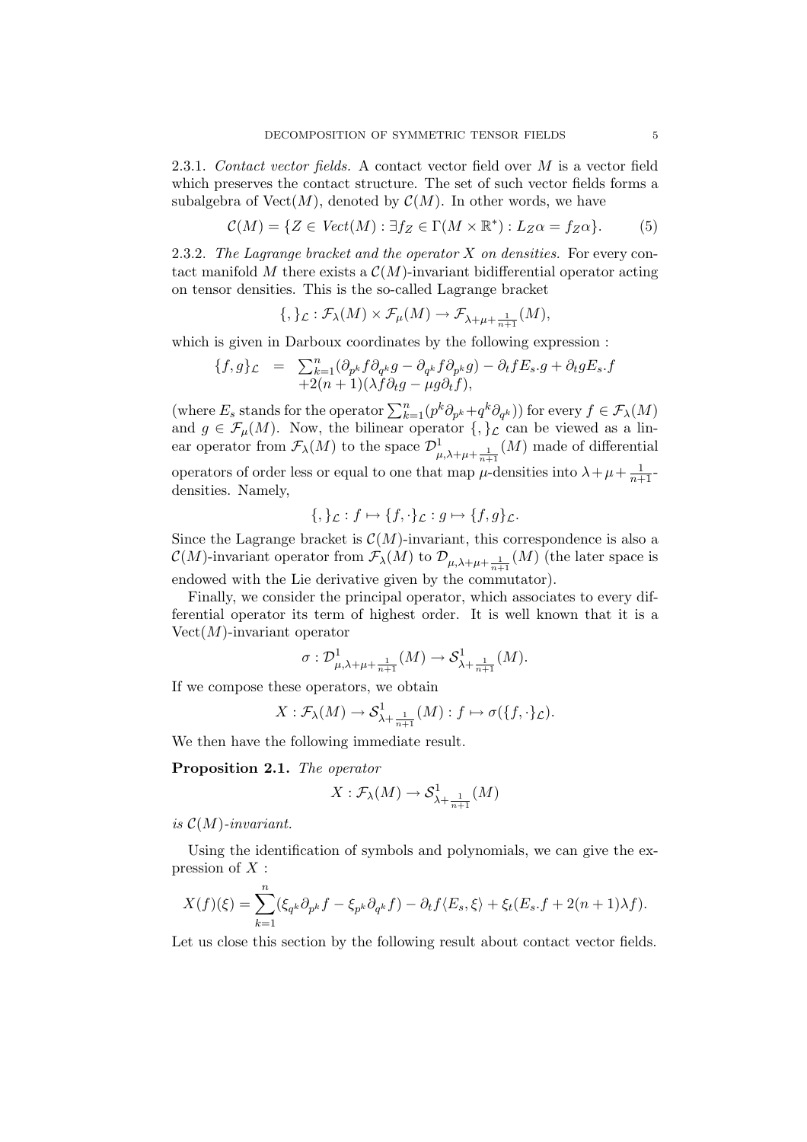2.3.1. Contact vector fields. A contact vector field over M is a vector field which preserves the contact structure. The set of such vector fields forms a subalgebra of  $Vect(M)$ , denoted by  $\mathcal{C}(M)$ . In other words, we have

$$
\mathcal{C}(M) = \{ Z \in \mathit{Vect}(M) : \exists f_Z \in \Gamma(M \times \mathbb{R}^*) : L_Z \alpha = f_Z \alpha \}. \tag{5}
$$

2.3.2. The Lagrange bracket and the operator X on densities. For every contact manifold M there exists a  $\mathcal{C}(M)$ -invariant bidifferential operator acting on tensor densities. This is the so-called Lagrange bracket

$$
\{,\}_\mathcal{L}:\mathcal{F}_\lambda(M)\times \mathcal{F}_\mu(M)\to \mathcal{F}_{\lambda+\mu+\frac{1}{n+1}}(M),
$$

which is given in Darboux coordinates by the following expression :

$$
\begin{array}{rcl}\n\{f,g\}_{\mathcal{L}} &=& \sum_{k=1}^{n} (\partial_{p^k} f \partial_{q^k} g - \partial_{q^k} f \partial_{p^k} g) - \partial_t f E_s \cdot g + \partial_t g E_s \cdot f \\
&+ 2(n+1)(\lambda f \partial_t g - \mu g \partial_t f),\n\end{array}
$$

(where  $E_s$  stands for the operator  $\sum_{k=1}^n (p^k \partial_{p^k} + q^k \partial_{q^k})$ ) for every  $f \in \mathcal{F}_\lambda(M)$ and  $g \in \mathcal{F}_{\mu}(M)$ . Now, the bilinear operator  $\{,\}_{\mathcal{L}}$  can be viewed as a linear operator from  $\mathcal{F}_{\lambda}(M)$  to the space  $\mathcal{D}^1_{\mu,\lambda+\mu+\frac{1}{n+1}}(M)$  made of differential operators of order less or equal to one that map  $\mu$ -densities into  $\lambda + \mu + \frac{1}{n+1}$ densities. Namely,

$$
\{,\}_\mathcal{L}: f \mapsto \{f,\cdot\}_\mathcal{L}: g \mapsto \{f,g\}_\mathcal{L}.
$$

Since the Lagrange bracket is  $\mathcal{C}(M)$ -invariant, this correspondence is also a  $\mathcal{C}(M)$ -invariant operator from  $\mathcal{F}_{\lambda}(M)$  to  $\mathcal{D}_{\mu,\lambda+\mu+\frac{1}{n+1}}(M)$  (the later space is endowed with the Lie derivative given by the commutator).

Finally, we consider the principal operator, which associates to every differential operator its term of highest order. It is well known that it is a  $Vect(M)$ -invariant operator

$$
\sigma: \mathcal{D}^1_{\mu,\lambda+\mu+\frac{1}{n+1}}(M)\rightarrow \mathcal{S}^1_{\lambda+\frac{1}{n+1}}(M).
$$

If we compose these operators, we obtain

$$
X: \mathcal{F}_{\lambda}(M) \to \mathcal{S}^1_{\lambda + \frac{1}{n+1}}(M): f \mapsto \sigma(\{f, \cdot\}_{\mathcal{L}}).
$$

We then have the following immediate result.

Proposition 2.1. The operator

$$
X: \mathcal{F}_{\lambda}(M) \to \mathcal{S}^1_{\lambda + \frac{1}{n+1}}(M)
$$

is  $\mathcal{C}(M)$ -invariant.

Using the identification of symbols and polynomials, we can give the expression of  $X$  :

$$
X(f)(\xi) = \sum_{k=1}^{n} (\xi_{q^k} \partial_{p^k} f - \xi_{p^k} \partial_{q^k} f) - \partial_t f \langle E_s, \xi \rangle + \xi_t (E_s.f + 2(n+1)\lambda f).
$$

Let us close this section by the following result about contact vector fields.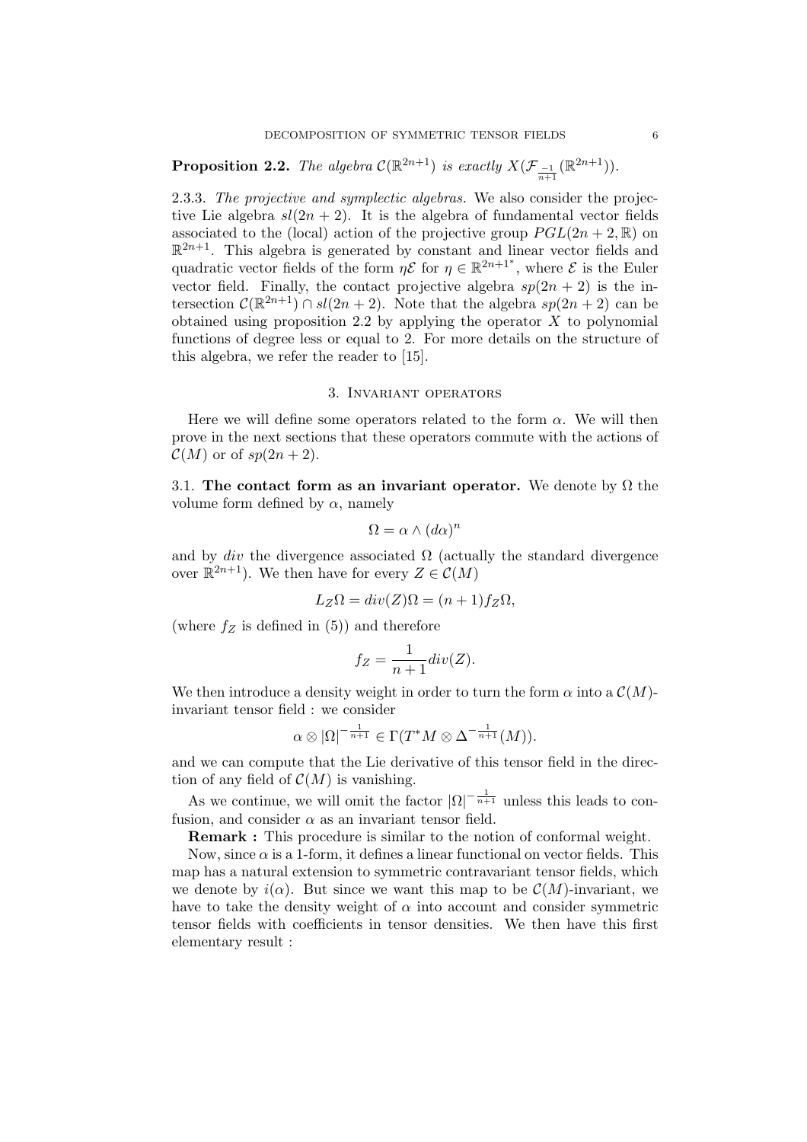**Proposition 2.2.** The algebra  $C(\mathbb{R}^{2n+1})$  is exactly  $X(\mathcal{F}_{\frac{-1}{n+1}}(\mathbb{R}^{2n+1}))$ .

2.3.3. The projective and symplectic algebras. We also consider the projective Lie algebra  $sl(2n + 2)$ . It is the algebra of fundamental vector fields associated to the (local) action of the projective group  $PGL(2n + 2, \mathbb{R})$  on  $\mathbb{R}^{2n+1}$ . This algebra is generated by constant and linear vector fields and quadratic vector fields of the form  $\eta \mathcal{E}$  for  $\eta \in \mathbb{R}^{2n+1^*}$ , where  $\mathcal E$  is the Euler vector field. Finally, the contact projective algebra  $sp(2n + 2)$  is the intersection  $\mathcal{C}(\mathbb{R}^{2n+1}) \cap sl(2n+2)$ . Note that the algebra  $sp(2n+2)$  can be obtained using proposition 2.2 by applying the operator  $X$  to polynomial functions of degree less or equal to 2. For more details on the structure of this algebra, we refer the reader to [15].

#### 3. Invariant operators

Here we will define some operators related to the form  $\alpha$ . We will then prove in the next sections that these operators commute with the actions of  $\mathcal{C}(M)$  or of  $sp(2n+2)$ .

3.1. The contact form as an invariant operator. We denote by  $\Omega$  the volume form defined by  $\alpha$ , namely

$$
\Omega = \alpha \wedge (d\alpha)^n
$$

and by div the divergence associated  $\Omega$  (actually the standard divergence over  $\mathbb{R}^{2n+1}$ ). We then have for every  $Z \in \mathcal{C}(M)$ 

$$
L_Z\Omega = div(Z)\Omega = (n+1)f_Z\Omega,
$$

(where  $f_Z$  is defined in (5)) and therefore

$$
f_Z = \frac{1}{n+1} div(Z).
$$

We then introduce a density weight in order to turn the form  $\alpha$  into a  $\mathcal{C}(M)$ invariant tensor field : we consider

$$
\alpha \otimes |\Omega|^{-\frac{1}{n+1}} \in \Gamma(T^*M \otimes \Delta^{-\frac{1}{n+1}}(M)).
$$

and we can compute that the Lie derivative of this tensor field in the direction of any field of  $\mathcal{C}(M)$  is vanishing.

As we continue, we will omit the factor  $|\Omega|^{-\frac{1}{n+1}}$  unless this leads to confusion, and consider  $\alpha$  as an invariant tensor field.

Remark : This procedure is similar to the notion of conformal weight.

Now, since  $\alpha$  is a 1-form, it defines a linear functional on vector fields. This map has a natural extension to symmetric contravariant tensor fields, which we denote by  $i(\alpha)$ . But since we want this map to be  $\mathcal{C}(M)$ -invariant, we have to take the density weight of  $\alpha$  into account and consider symmetric tensor fields with coefficients in tensor densities. We then have this first elementary result :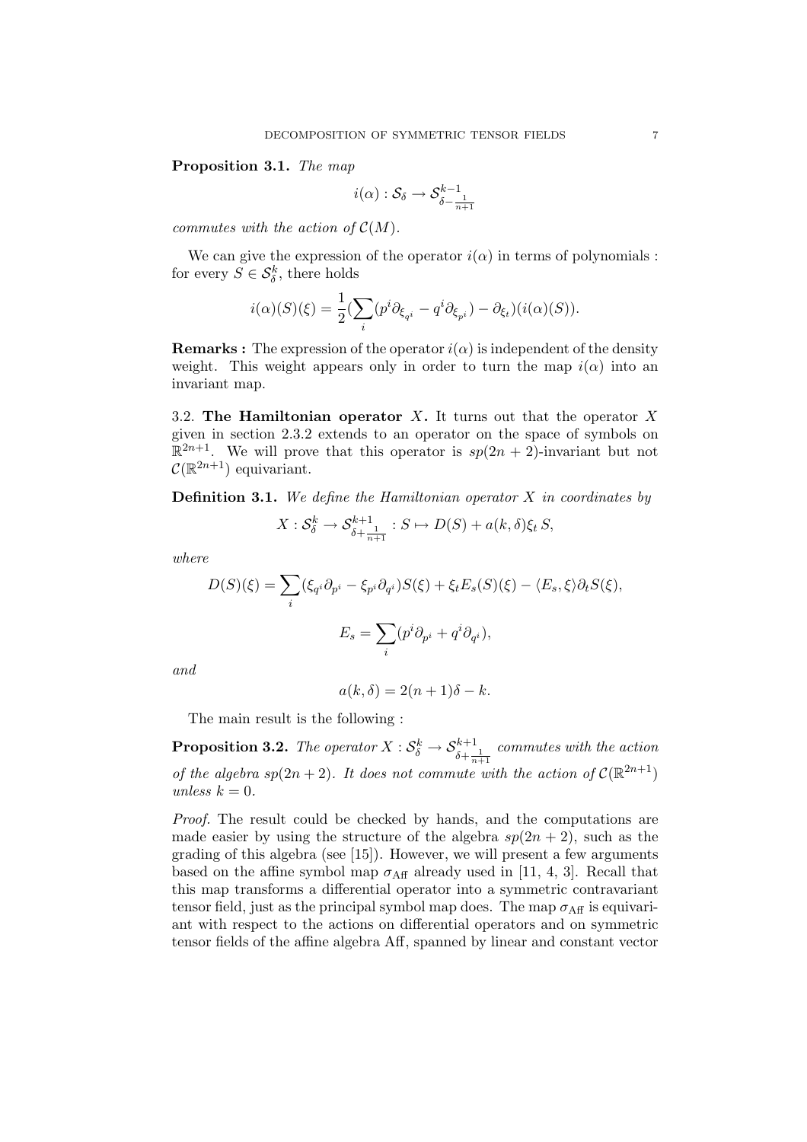Proposition 3.1. The map

$$
i(\alpha):\mathcal{S}_\delta\to\mathcal{S}^{k-1}_{\delta-\frac{1}{n+1}}
$$

commutes with the action of  $\mathcal{C}(M)$ .

We can give the expression of the operator  $i(\alpha)$  in terms of polynomials : for every  $S \in \mathcal{S}_{\delta}^k$ , there holds

$$
i(\alpha)(S)(\xi) = \frac{1}{2} \left( \sum_{i} (p^i \partial_{\xi_{q^i}} - q^i \partial_{\xi_{p^i}}) - \partial_{\xi_t} \right) (i(\alpha)(S)).
$$

**Remarks :** The expression of the operator  $i(\alpha)$  is independent of the density weight. This weight appears only in order to turn the map  $i(\alpha)$  into an invariant map.

3.2. The Hamiltonian operator  $X$ . It turns out that the operator  $X$ given in section 2.3.2 extends to an operator on the space of symbols on  $\mathbb{R}^{2n+1}$ . We will prove that this operator is  $sp(2n + 2)$ -invariant but not  $\mathcal{C}(\mathbb{R}^{2n+1})$  equivariant.

**Definition 3.1.** We define the Hamiltonian operator  $X$  in coordinates by

$$
X: \mathcal{S}_{\delta}^{k} \to \mathcal{S}_{\delta + \frac{1}{n+1}}^{k+1} : S \mapsto D(S) + a(k, \delta) \xi_{t} S,
$$

where

$$
D(S)(\xi) = \sum_{i} (\xi_{q} \partial_{p} - \xi_{p} \partial_{q} \partial_{p}) S(\xi) + \xi_{t} E_{s}(S)(\xi) - \langle E_{s}, \xi \rangle \partial_{t} S(\xi),
$$

$$
E_{s} = \sum_{i} (p^{i} \partial_{p} + q^{i} \partial_{q} \partial_{p}),
$$

and

$$
a(k,\delta) = 2(n+1)\delta - k.
$$

The main result is the following :

**Proposition 3.2.** The operator  $X: \mathcal{S}_{\delta}^k \to \mathcal{S}_{\delta+\frac{1}{n+1}}^{k+1}$  commutes with the action of the algebra  $sp(2n+2)$ . It does not commute with the action of  $\mathcal{C}(\mathbb{R}^{2n+1})$ unless  $k = 0$ .

Proof. The result could be checked by hands, and the computations are made easier by using the structure of the algebra  $sp(2n + 2)$ , such as the grading of this algebra (see [15]). However, we will present a few arguments based on the affine symbol map  $\sigma_{\text{Aff}}$  already used in [11, 4, 3]. Recall that this map transforms a differential operator into a symmetric contravariant tensor field, just as the principal symbol map does. The map  $\sigma_{\text{Aff}}$  is equivariant with respect to the actions on differential operators and on symmetric tensor fields of the affine algebra Aff, spanned by linear and constant vector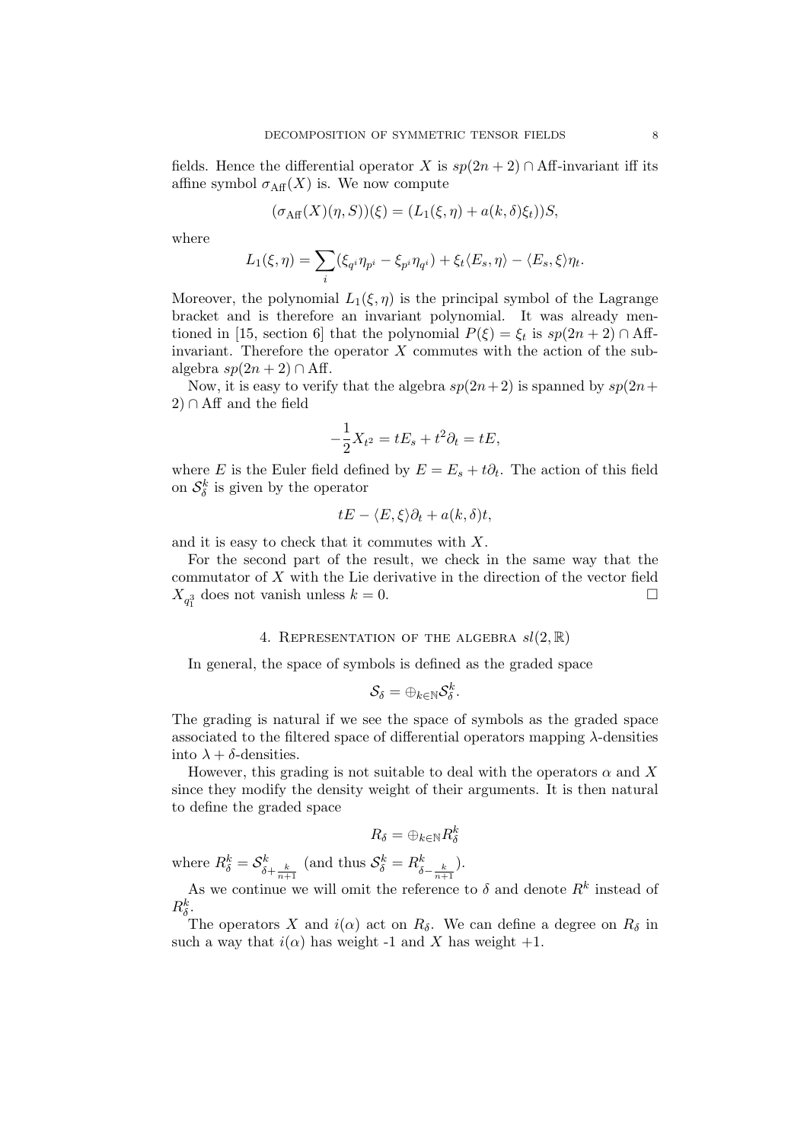fields. Hence the differential operator X is  $sp(2n + 2) \cap Aff$ -invariant iff its affine symbol  $\sigma_{\text{Aff}}(X)$  is. We now compute

$$
(\sigma_{\text{Aff}}(X)(\eta, S))(\xi) = (L_1(\xi, \eta) + a(k, \delta)\xi_t))S,
$$

where

$$
L_1(\xi,\eta) = \sum_i (\xi_{q^i}\eta_{p^i} - \xi_{p^i}\eta_{q^i}) + \xi_t \langle E_s, \eta \rangle - \langle E_s, \xi \rangle \eta_t.
$$

Moreover, the polynomial  $L_1(\xi, \eta)$  is the principal symbol of the Lagrange bracket and is therefore an invariant polynomial. It was already mentioned in [15, section 6] that the polynomial  $P(\xi) = \xi_t$  is  $sp(2n + 2) \cap Aff$ invariant. Therefore the operator  $X$  commutes with the action of the subalgebra  $sp(2n + 2) \cap Aff.$ 

Now, it is easy to verify that the algebra  $sp(2n+2)$  is spanned by  $sp(2n+1)$  $2) \cap Aff$  and the field

$$
-\frac{1}{2}X_{t^2} = tE_s + t^2\partial_t = tE,
$$

where E is the Euler field defined by  $E = E_s + t\partial_t$ . The action of this field on  $S^k_{\delta}$  is given by the operator

$$
tE - \langle E, \xi \rangle \partial_t + a(k, \delta)t,
$$

and it is easy to check that it commutes with X.

For the second part of the result, we check in the same way that the commutator of X with the Lie derivative in the direction of the vector field  $X_{q_1^3}$  does not vanish unless  $k = 0$ .

#### 4. REPRESENTATION OF THE ALGEBRA  $sl(2, \mathbb{R})$

In general, the space of symbols is defined as the graded space

$$
\mathcal{S}_\delta = \oplus_{k \in \mathbb{N}} \mathcal{S}_\delta^k.
$$

The grading is natural if we see the space of symbols as the graded space associated to the filtered space of differential operators mapping λ-densities into  $\lambda + \delta$ -densities.

However, this grading is not suitable to deal with the operators  $\alpha$  and X since they modify the density weight of their arguments. It is then natural to define the graded space

$$
R_\delta=\oplus_{k\in\mathbb{N}}R_\delta^k
$$

where  $R_{\delta}^{k} = \mathcal{S}_{\delta + \frac{k}{n+1}}^{k}$  (and thus  $\mathcal{S}_{\delta}^{k} = R_{\delta - \frac{k}{n+1}}^{k}$ ).

As we continue we will omit the reference to  $\delta$  and denote  $R^k$  instead of  $R^k_{\delta}$ .

The operators X and  $i(\alpha)$  act on  $R_{\delta}$ . We can define a degree on  $R_{\delta}$  in such a way that  $i(\alpha)$  has weight -1 and X has weight +1.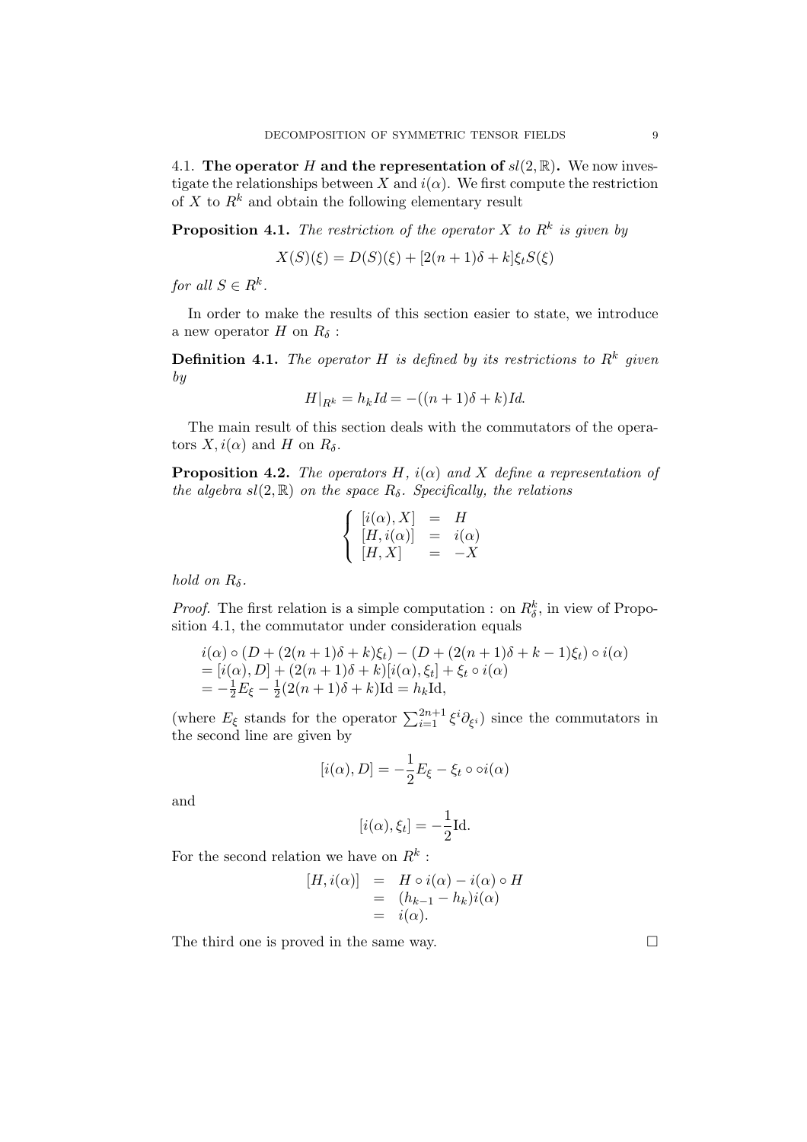4.1. The operator H and the representation of  $sl(2,\mathbb{R})$ . We now investigate the relationships between X and  $i(\alpha)$ . We first compute the restriction of X to  $R^k$  and obtain the following elementary result

**Proposition 4.1.** The restriction of the operator X to  $R^k$  is given by

$$
X(S)(\xi) = D(S)(\xi) + [2(n+1)\delta + k]\xi_t S(\xi)
$$

for all  $S \in R^k$ .

In order to make the results of this section easier to state, we introduce a new operator  $H$  on  $R_\delta$  :

**Definition 4.1.** The operator H is defined by its restrictions to  $R^k$  given by

$$
H|_{R^k} = h_k Id = -((n+1)\delta + k)Id.
$$

The main result of this section deals with the commutators of the operators  $X, i(\alpha)$  and H on  $R_{\delta}$ .

**Proposition 4.2.** The operators H,  $i(\alpha)$  and X define a representation of the algebra  $sl(2, \mathbb{R})$  on the space  $R_{\delta}$ . Specifically, the relations

$$
\begin{cases}\n[i(\alpha), X] &= H \\
[H, i(\alpha)] &= i(\alpha) \\
[H, X] &= -X\n\end{cases}
$$

hold on  $R_\delta$ .

*Proof.* The first relation is a simple computation : on  $R_{\delta}^{k}$ , in view of Proposition 4.1, the commutator under consideration equals

$$
i(\alpha) \circ (D + (2(n+1)\delta + k)\xi_t) - (D + (2(n+1)\delta + k - 1)\xi_t) \circ i(\alpha)
$$
  
=  $[i(\alpha), D] + (2(n+1)\delta + k)[i(\alpha), \xi_t] + \xi_t \circ i(\alpha)$   
=  $-\frac{1}{2}E_{\xi} - \frac{1}{2}(2(n+1)\delta + k)\text{Id} = h_k\text{Id},$ 

(where  $E_{\xi}$  stands for the operator  $\sum_{i=1}^{2n+1} \xi^{i} \partial_{\xi^{i}}$ ) since the commutators in the second line are given by

$$
[i(\alpha), D] = -\frac{1}{2}E_{\xi} - \xi_t \circ \circ i(\alpha)
$$

and

$$
[i(\alpha), \xi_t] = -\frac{1}{2} \text{Id}.
$$

For the second relation we have on  $R^k$ :

$$
[H, i(\alpha)] = H \circ i(\alpha) - i(\alpha) \circ H
$$
  
=  $(h_{k-1} - h_k)i(\alpha)$   
=  $i(\alpha)$ .

The third one is proved in the same way.  $\Box$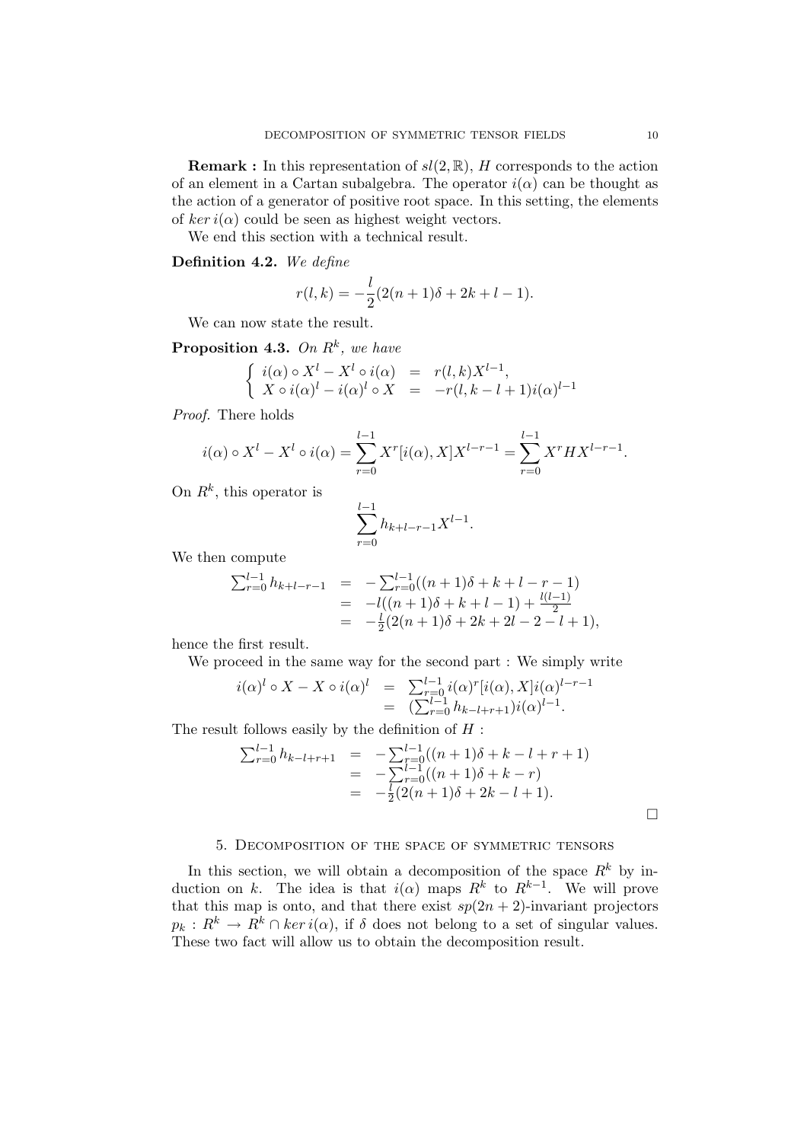**Remark :** In this representation of  $sl(2, \mathbb{R})$ , H corresponds to the action of an element in a Cartan subalgebra. The operator  $i(\alpha)$  can be thought as the action of a generator of positive root space. In this setting, the elements of ker  $i(\alpha)$  could be seen as highest weight vectors.

We end this section with a technical result.

## Definition 4.2. We define

$$
r(l,k) = -\frac{l}{2}(2(n+1)\delta + 2k + l - 1).
$$

We can now state the result.

**Proposition 4.3.** On  $R^k$ , we have

$$
\begin{cases}\ni(\alpha) \circ X^l - X^l \circ i(\alpha) &= r(l,k)X^{l-1}, \\
X \circ i(\alpha)^l - i(\alpha)^l \circ X &= -r(l,k-l+1)i(\alpha)^{l-1}\n\end{cases}
$$

Proof. There holds

$$
i(\alpha) \circ X^{l} - X^{l} \circ i(\alpha) = \sum_{r=0}^{l-1} X^{r}[i(\alpha), X]X^{l-r-1} = \sum_{r=0}^{l-1} X^{r} H X^{l-r-1}.
$$

On  $R^k$ , this operator is

$$
\sum_{r=0}^{l-1} h_{k+l-r-1} X^{l-1}.
$$

We then compute

$$
\sum_{r=0}^{l-1} h_{k+l-r-1} = -\sum_{r=0}^{l-1} ((n+1)\delta + k + l - r - 1)
$$
  
=  $-l((n+1)\delta + k + l - 1) + \frac{l(l-1)}{2}$   
=  $-\frac{l}{2}(2(n+1)\delta + 2k + 2l - 2 - l + 1),$ 

hence the first result.

We proceed in the same way for the second part : We simply write

$$
i(\alpha)^{l} \circ X - X \circ i(\alpha)^{l} = \sum_{r=0}^{l-1} i(\alpha)^{r} [i(\alpha), X] i(\alpha)^{l-r-1}
$$
  
= 
$$
(\sum_{r=0}^{l-1} h_{k-l+r+1}) i(\alpha)^{l-1}.
$$

The result follows easily by the definition of  $H$ :

$$
\sum_{r=0}^{l-1} h_{k-l+r+1} = -\sum_{r=0}^{l-1} ((n+1)\delta + k - l + r + 1)
$$
  
= 
$$
-\sum_{r=0}^{l-1} ((n+1)\delta + k - r)
$$
  
= 
$$
-\frac{l}{2}(2(n+1)\delta + 2k - l + 1).
$$

## 5. Decomposition of the space of symmetric tensors

In this section, we will obtain a decomposition of the space  $R^k$  by induction on k. The idea is that  $i(\alpha)$  maps  $R^k$  to  $R^{k-1}$ . We will prove that this map is onto, and that there exist  $sp(2n + 2)$ -invariant projectors  $p_k: R^k \to \overline{R}^k \cap \ker i(\alpha)$ , if  $\delta$  does not belong to a set of singular values. These two fact will allow us to obtain the decomposition result.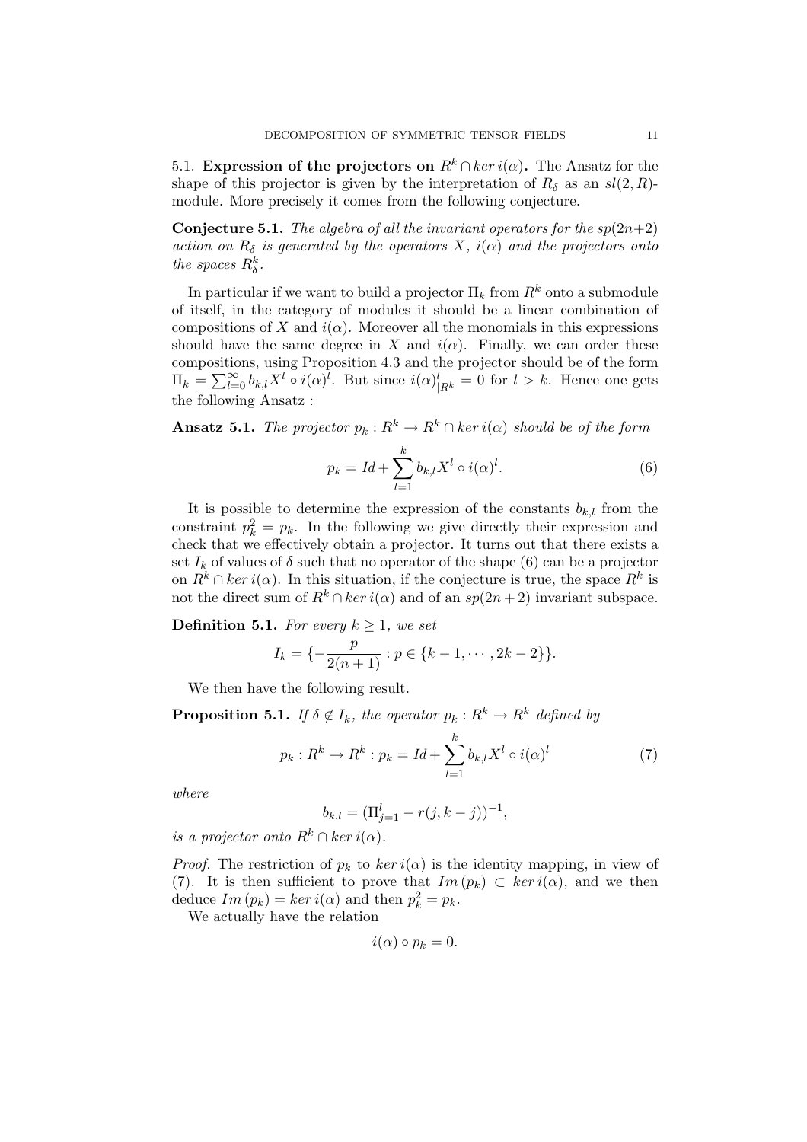5.1. Expression of the projectors on  $R^k \cap \ker i(\alpha)$ . The Ansatz for the shape of this projector is given by the interpretation of  $R_{\delta}$  as an  $sl(2, R)$ module. More precisely it comes from the following conjecture.

**Conjecture 5.1.** The algebra of all the invariant operators for the  $sp(2n+2)$ action on  $R_{\delta}$  is generated by the operators X,  $i(\alpha)$  and the projectors onto the spaces  $R_{\delta}^{k}$ .

In particular if we want to build a projector  $\Pi_k$  from  $R^k$  onto a submodule of itself, in the category of modules it should be a linear combination of compositions of X and  $i(\alpha)$ . Moreover all the monomials in this expressions should have the same degree in X and  $i(\alpha)$ . Finally, we can order these compositions, using Proposition 4.3 and the projector should be of the form compositions, using Proposition 4.5 and the projector should be of the form  $\Pi_k = \sum_{l=0}^{\infty} b_{k,l} X^l \circ i(\alpha)^l$ . But since  $i(\alpha)^l_{|R^k} = 0$  for  $l > k$ . Hence one gets the following Ansatz :

**Ansatz 5.1.** The projector  $p_k : R^k \to R^k \cap \ker i(\alpha)$  should be of the form

$$
p_k = Id + \sum_{l=1}^k b_{k,l} X^l \circ i(\alpha)^l.
$$
 (6)

It is possible to determine the expression of the constants  $b_{k,l}$  from the constraint  $p_k^2 = p_k$ . In the following we give directly their expression and check that we effectively obtain a projector. It turns out that there exists a set  $I_k$  of values of  $\delta$  such that no operator of the shape (6) can be a projector on  $R^k \cap \ker i(\alpha)$ . In this situation, if the conjecture is true, the space  $R^k$  is not the direct sum of  $R^k \cap \ker i(\alpha)$  and of an  $sp(2n+2)$  invariant subspace.

**Definition 5.1.** For every  $k \geq 1$ , we set

$$
I_k = \{-\frac{p}{2(n+1)} : p \in \{k-1, \cdots, 2k-2\}\}.
$$

We then have the following result.

**Proposition 5.1.** If  $\delta \notin I_k$ , the operator  $p_k : R^k \to R^k$  defined by

$$
p_k: R^k \to R^k: p_k = Id + \sum_{l=1}^k b_{k,l} X^l \circ i(\alpha)^l \tag{7}
$$

where

$$
b_{k,l} = (\Pi_{j=1}^l - r(j, k-j))^{-1},
$$

is a projector onto  $R^k \cap \ker i(\alpha)$ .

*Proof.* The restriction of  $p_k$  to  $\ker i(\alpha)$  is the identity mapping, in view of (7). It is then sufficient to prove that  $Im(p_k) \subset ker i(\alpha)$ , and we then deduce  $Im(p_k) = ker i(\alpha)$  and then  $p_k^2 = p_k$ .

We actually have the relation

$$
i(\alpha) \circ p_k = 0.
$$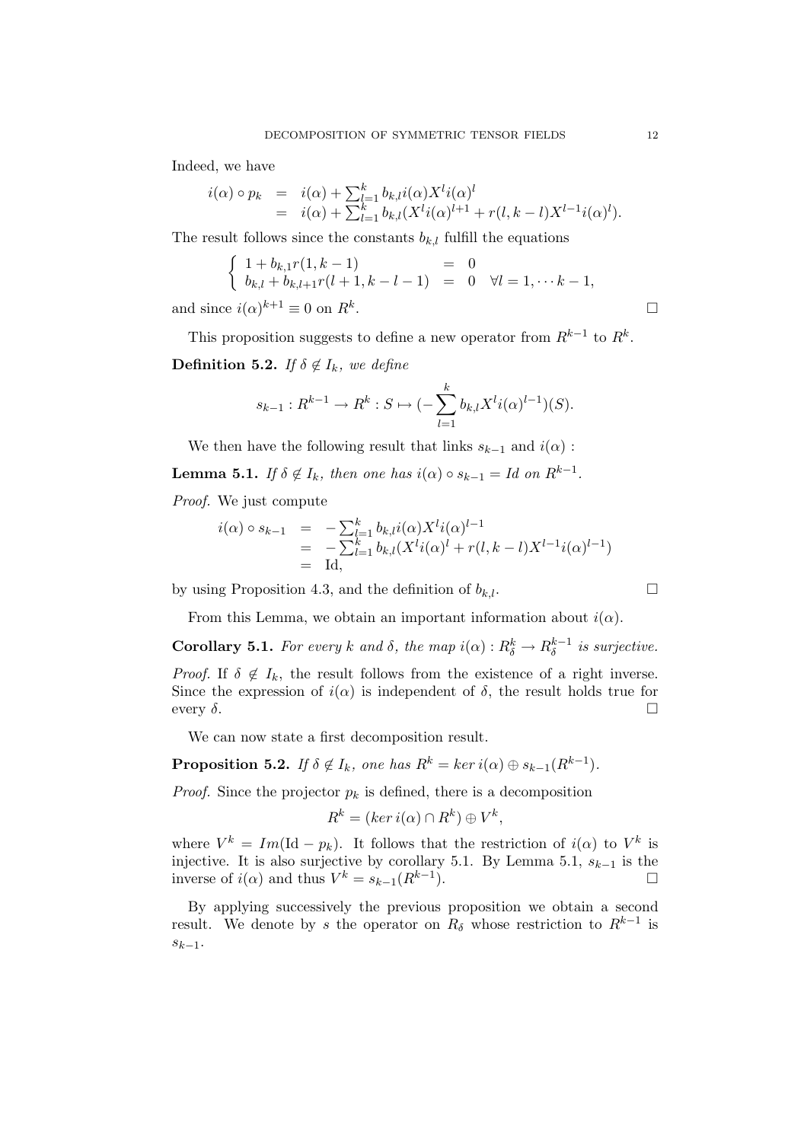Indeed, we have

$$
i(\alpha) \circ p_k = i(\alpha) + \sum_{l=1}^k b_{k,l} i(\alpha) X^l i(\alpha)^l
$$
  
=  $i(\alpha) + \sum_{l=1}^k b_{k,l} (X^l i(\alpha)^{l+1} + r(l, k-l) X^{l-1} i(\alpha)^l).$ 

The result follows since the constants  $b_{k,l}$  fulfill the equations

$$
\begin{cases}\n1 + b_{k,1}r(1, k - 1) = 0 \\
b_{k,l} + b_{k,l+1}r(l+1, k-l-1) = 0 \quad \forall l = 1, \dots k-1, \\
\text{ce } i(\alpha)^{k+1} \equiv 0 \text{ on } R^k.\n\end{cases}
$$

and since  $i(\alpha)^{k+1} \equiv 0$  on  $R^k$ 

This proposition suggests to define a new operator from  $R^{k-1}$  to  $R^k$ . **Definition 5.2.** If  $\delta \notin I_k$ , we define

$$
s_{k-1}: R^{k-1} \to R^k : S \mapsto (-\sum_{l=1}^k b_{k,l} X^l i(\alpha)^{l-1})(S).
$$

We then have the following result that links  $s_{k-1}$  and  $i(\alpha)$ :

**Lemma 5.1.** If  $\delta \notin I_k$ , then one has  $i(\alpha) \circ s_{k-1} = Id$  on  $R^{k-1}$ .

Proof. We just compute

$$
i(\alpha) \circ s_{k-1} = -\sum_{l=1}^{k} b_{k,l} i(\alpha) X^{l} i(\alpha)^{l-1}
$$
  
=  $-\sum_{l=1}^{k} b_{k,l} (X^{l} i(\alpha)^{l} + r(l, k-l) X^{l-1} i(\alpha)^{l-1})$   
= Id,

by using Proposition 4.3, and the definition of  $b_{k,l}$ .

From this Lemma, we obtain an important information about  $i(\alpha)$ .

**Corollary 5.1.** For every k and  $\delta$ , the map  $i(\alpha): R_{\delta}^k \to R_{\delta}^{k-1}$  $\delta^{k-1}$  is surjective. *Proof.* If  $\delta \notin I_k$ , the result follows from the existence of a right inverse. Since the expression of  $i(\alpha)$  is independent of  $\delta$ , the result holds true for every  $\delta$ .

We can now state a first decomposition result.

**Proposition 5.2.** If  $\delta \notin I_k$ , one has  $R^k = \ker i(\alpha) \oplus s_{k-1}(R^{k-1})$ .

*Proof.* Since the projector  $p_k$  is defined, there is a decomposition

$$
R^k = (ker\,i(\alpha) \cap R^k) \oplus V^k,
$$

where  $V^k = Im(\text{Id} - p_k)$ . It follows that the restriction of  $i(\alpha)$  to  $V^k$  is injective. It is also surjective by corollary 5.1. By Lemma 5.1,  $s_{k-1}$  is the inverse of  $i(\alpha)$  and thus  $V^k = s_{k-1}(R^{k-1})$ ).  $\Box$ 

By applying successively the previous proposition we obtain a second result. We denote by s the operator on  $R_\delta$  whose restriction to  $R^{k-1}$  is  $s_{k-1}$ .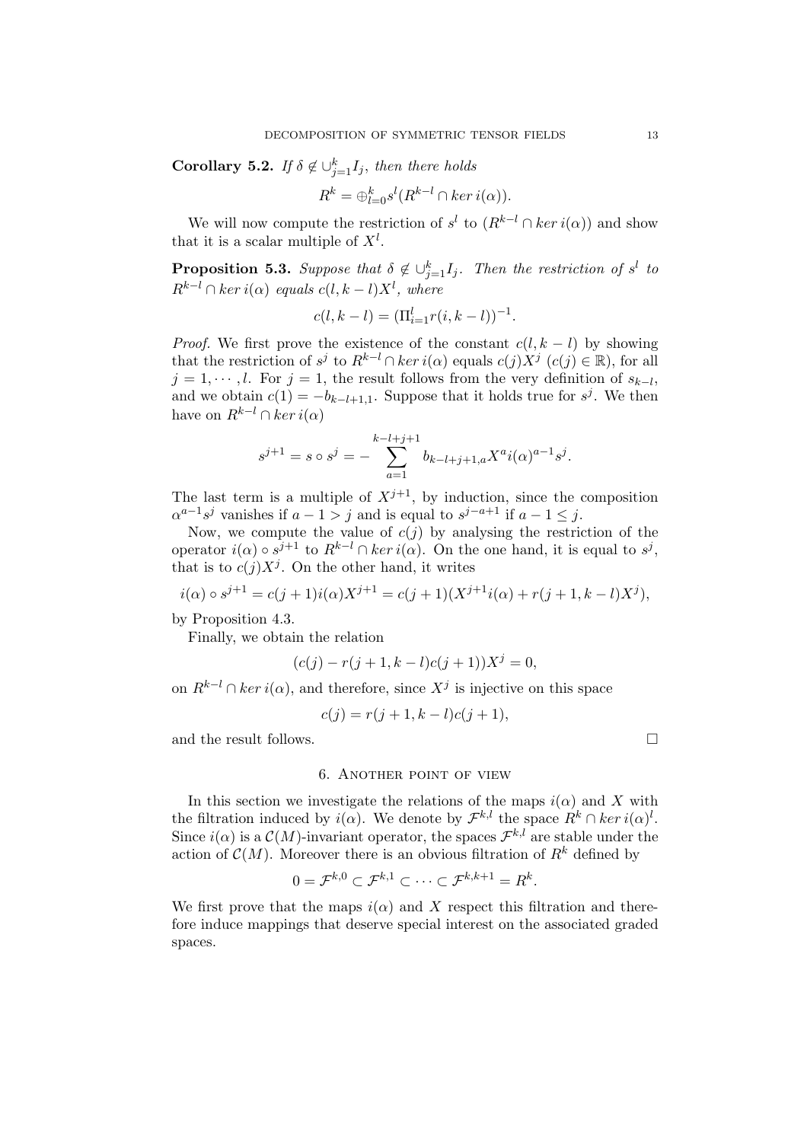**Corollary 5.2.** If  $\delta \notin \bigcup_{j=1}^k I_j$ , then there holds

$$
R^k = \bigoplus_{l=0}^k s^l (R^{k-l} \cap \ker i(\alpha)).
$$

We will now compute the restriction of  $s^l$  to  $(R^{k-l} \cap ker i(\alpha))$  and show that it is a scalar multiple of  $X^l$ .

**Proposition 5.3.** Suppose that  $\delta \notin \bigcup_{j=1}^{k} I_j$ . Then the restriction of s<sup>l</sup> to  $R^{k-l} \cap \text{ker } i(\alpha)$  equals  $c(l, k-l)X^l$ , where

$$
c(l, k-l) = (\Pi_{i=1}^{l} r(i, k-l))^{-1}.
$$

*Proof.* We first prove the existence of the constant  $c(l, k - l)$  by showing that the restriction of  $s^j$  to  $R^{k-l} \cap \ker i(\alpha)$  equals  $c(j)X^j$   $(c(j) \in \mathbb{R})$ , for all  $j = 1, \dots, l$ . For  $j = 1$ , the result follows from the very definition of  $s_{k-l}$ , and we obtain  $c(1) = -b_{k-l+1,1}$ . Suppose that it holds true for  $s^j$ . We then have on  $R^{k-l} \cap \ker i(\alpha)$ 

$$
s^{j+1} = s \circ s^j = -\sum_{a=1}^{k-l+j+1} b_{k-l+j+1,a} X^a i(\alpha)^{a-1} s^j.
$$

The last term is a multiple of  $X^{j+1}$ , by induction, since the composition  $\alpha^{a-1}s^j$  vanishes if  $a-1>j$  and is equal to  $s^{j-a+1}$  if  $a-1\leq j$ .

Now, we compute the value of  $c(j)$  by analysing the restriction of the operator  $i(\alpha) \circ s^{j+1}$  to  $R^{k-l} \cap \ker i(\alpha)$ . On the one hand, it is equal to  $s^j$ , that is to  $c(j)X^j$ . On the other hand, it writes

$$
i(\alpha) \circ s^{j+1} = c(j+1)i(\alpha)X^{j+1} = c(j+1)(X^{j+1}i(\alpha) + r(j+1, k-l)X^j),
$$

by Proposition 4.3.

Finally, we obtain the relation

$$
(c(j) - r(j+1, k-l)c(j+1))X^{j} = 0,
$$

on  $R^{k-l} \cap \ker i(\alpha)$ , and therefore, since  $X^j$  is injective on this space

$$
c(j) = r(j + 1, k - l)c(j + 1),
$$

and the result follows.  $\Box$ 

6. Another point of view

In this section we investigate the relations of the maps  $i(\alpha)$  and X with the filtration induced by  $i(\alpha)$ . We denote by  $\mathcal{F}^{k,l}$  the space  $R^k \cap \ker i(\alpha)^l$ . Since  $i(\alpha)$  is a  $\mathcal{C}(M)$ -invariant operator, the spaces  $\mathcal{F}^{k,l}$  are stable under the action of  $\mathcal{C}(M)$ . Moreover there is an obvious filtration of  $R^k$  defined by

$$
0 = \mathcal{F}^{k,0} \subset \mathcal{F}^{k,1} \subset \cdots \subset \mathcal{F}^{k,k+1} = R^k.
$$

We first prove that the maps  $i(\alpha)$  and X respect this filtration and therefore induce mappings that deserve special interest on the associated graded spaces.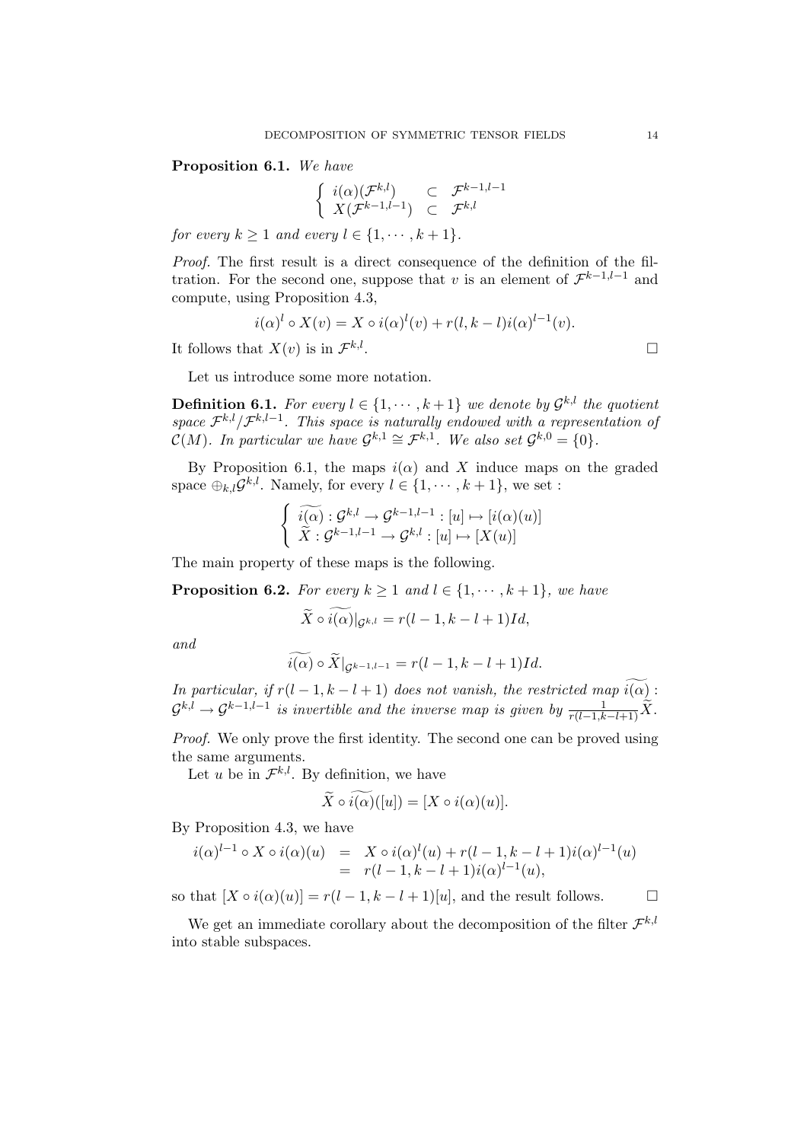### Proposition 6.1. We have

$$
\left\{\n\begin{array}{ll}\n i(\alpha)(\mathcal{F}^{k,l}) & \subset & \mathcal{F}^{k-1,l-1} \\
 X(\mathcal{F}^{k-1,l-1}) & \subset & \mathcal{F}^{k,l}\n\end{array}\n\right.
$$

for every  $k \geq 1$  and every  $l \in \{1, \dots, k+1\}.$ 

Proof. The first result is a direct consequence of the definition of the filtration. For the second one, suppose that v is an element of  $\mathcal{F}^{k-1,l-1}$  and compute, using Proposition 4.3,

$$
i(\alpha)^{l} \circ X(v) = X \circ i(\alpha)^{l}(v) + r(l, k-l)i(\alpha)^{l-1}(v).
$$
  
at  $X(v)$  is in  $\mathcal{F}^{k,l}$ .

It follows that  $X(v)$  is in  $\mathcal{F}^{k,l}$ 

Let us introduce some more notation.

**Definition 6.1.** For every  $l \in \{1, \dots, k+1\}$  we denote by  $\mathcal{G}^{k,l}$  the quotient space  $\mathcal{F}^{k,l}/\mathcal{F}^{k,l-1}$ . This space is naturally endowed with a representation of  $\mathcal{C}(M)$ . In particular we have  $\mathcal{G}^{k,1} \cong \mathcal{F}^{k,1}$ . We also set  $\mathcal{G}^{k,0} = \{0\}$ .

By Proposition 6.1, the maps  $i(\alpha)$  and X induce maps on the graded space  $\bigoplus_{k,l} \mathcal{G}^{k,l}$ . Namely, for every  $l \in \{1, \cdots, k+1\}$ , we set :

$$
\begin{cases} \widetilde{i(\alpha)} : \mathcal{G}^{k,l} \to \mathcal{G}^{k-1,l-1} : [u] \mapsto [i(\alpha)(u)] \\ \widetilde{X} : \mathcal{G}^{k-1,l-1} \to \mathcal{G}^{k,l} : [u] \mapsto [X(u)] \end{cases}
$$

The main property of these maps is the following.

**Proposition 6.2.** For every  $k \geq 1$  and  $l \in \{1, \dots, k+1\}$ , we have

$$
\widetilde{X} \circ \widetilde{i(\alpha)}|_{\mathcal{G}^{k,l}} = r(l-1,k-l+1)Id,
$$

and

$$
\widetilde{i(\alpha)} \circ \widetilde{X}|_{\mathcal{G}^{k-1,l-1}} = r(l-1,k-l+1)Id.
$$

In particular, if  $r(l-1, k-l+1)$  does not vanish, the restricted map  $\widetilde{i(\alpha)}$ :  $\mathcal{G}^{k,l}\to \mathcal{G}^{k-1,l-1}$  is invertible and the inverse map is given by  $\frac{1}{r(l-1,k-l+1)}\widetilde{X}.$ 

Proof. We only prove the first identity. The second one can be proved using the same arguments.

Let u be in  $\mathcal{F}^{k,l}$ . By definition, we have

$$
\widetilde{X}\circ\widetilde{i(\alpha)}([u])=[X\circ i(\alpha)(u)].
$$

By Proposition 4.3, we have

$$
i(\alpha)^{l-1} \circ X \circ i(\alpha)(u) = X \circ i(\alpha)^{l}(u) + r(l-1, k-l+1)i(\alpha)^{l-1}(u)
$$
  
=  $r(l-1, k-l+1)i(\alpha)^{l-1}(u),$ 

so that  $[X \circ i(\alpha)(u)] = r(l-1, k-l+1)[u]$ , and the result follows.  $\Box$ 

We get an immediate corollary about the decomposition of the filter  $\mathcal{F}^{k,l}$ into stable subspaces.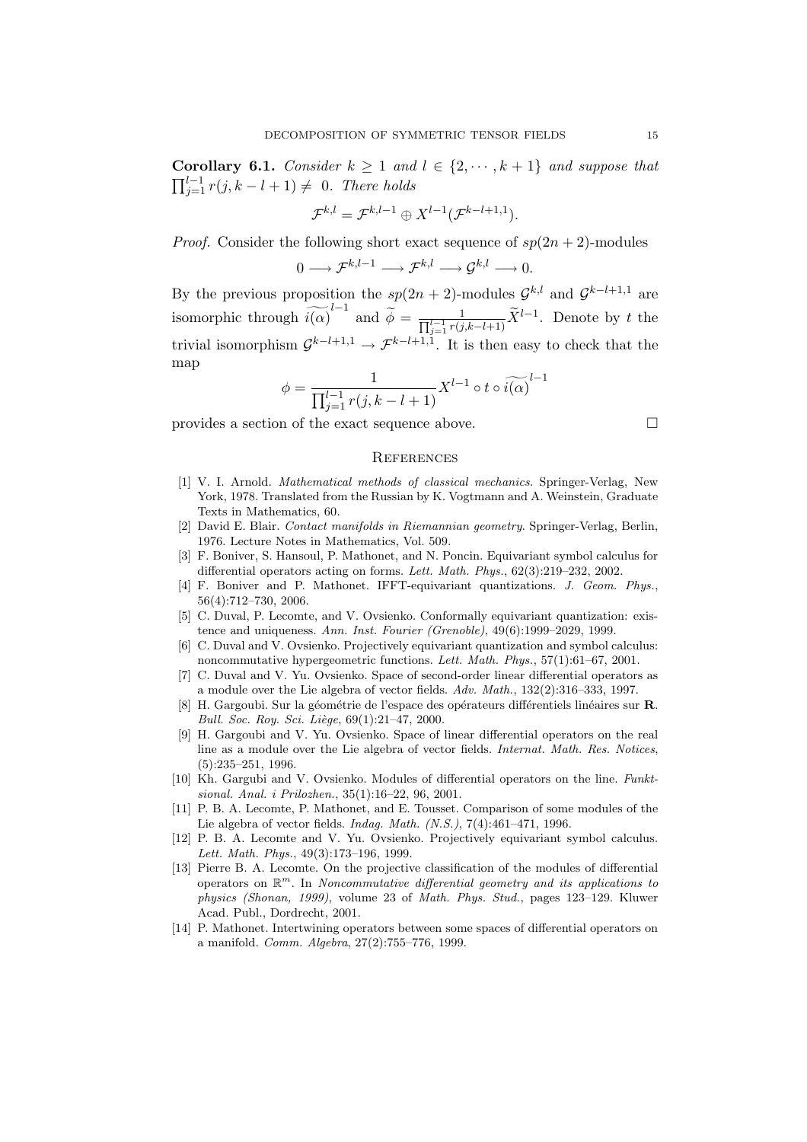Corollary 6.1. Consider  $k \geq 1$  and  $l \in \{2, \dots, k+1\}$  and suppose that  $\sum_{n=1}^{\infty}$  $j=1 \atop j=1}$   $r(j, k-l+1) \neq 0$ . There holds

$$
\mathcal{F}^{k,l}=\mathcal{F}^{k,l-1}\oplus X^{l-1}(\mathcal{F}^{k-l+1,1}).
$$

*Proof.* Consider the following short exact sequence of  $sp(2n + 2)$ -modules

$$
0\longrightarrow \mathcal{F}^{k,l-1}\longrightarrow \mathcal{F}^{k,l}\longrightarrow \mathcal{G}^{k,l}\longrightarrow 0.
$$

By the previous proposition the  $sp(2n + 2)$ -modules  $\mathcal{G}^{k,l}$  and  $\mathcal{G}^{k-l+1,1}$  are isomorphic through  $\widetilde{i(\alpha)}^{l-1}$  and  $\widetilde{\phi} = \frac{1}{\prod_{j=1}^{l-1} r(j,k-l+1)} \widetilde{X}^{l-1}$ . Denote by t the trivial isomorphism  $\mathcal{G}^{k-l+1,1} \to \mathcal{F}^{k-l+1,1}$ . It is then easy to check that the map

$$
\phi = \frac{1}{\prod_{j=1}^{l-1} r(j, k-l+1)} X^{l-1} \circ t \circ \widetilde{i(\alpha)}^{l-1}
$$

provides a section of the exact sequence above.  $\Box$ 

#### **REFERENCES**

- [1] V. I. Arnold. Mathematical methods of classical mechanics. Springer-Verlag, New York, 1978. Translated from the Russian by K. Vogtmann and A. Weinstein, Graduate Texts in Mathematics, 60.
- [2] David E. Blair. Contact manifolds in Riemannian geometry. Springer-Verlag, Berlin, 1976. Lecture Notes in Mathematics, Vol. 509.
- [3] F. Boniver, S. Hansoul, P. Mathonet, and N. Poncin. Equivariant symbol calculus for differential operators acting on forms. Lett. Math. Phys., 62(3):219–232, 2002.
- [4] F. Boniver and P. Mathonet. IFFT-equivariant quantizations. J. Geom. Phys., 56(4):712–730, 2006.
- [5] C. Duval, P. Lecomte, and V. Ovsienko. Conformally equivariant quantization: existence and uniqueness. Ann. Inst. Fourier (Grenoble), 49(6):1999–2029, 1999.
- [6] C. Duval and V. Ovsienko. Projectively equivariant quantization and symbol calculus: noncommutative hypergeometric functions. Lett. Math. Phys., 57(1):61–67, 2001.
- [7] C. Duval and V. Yu. Ovsienko. Space of second-order linear differential operators as a module over the Lie algebra of vector fields. Adv. Math., 132(2):316–333, 1997.
- [8] H. Gargoubi. Sur la géométrie de l'espace des opérateurs différentiels linéaires sur R. Bull. Soc. Roy. Sci. Liège,  $69(1):21-47$ , 2000.
- [9] H. Gargoubi and V. Yu. Ovsienko. Space of linear differential operators on the real line as a module over the Lie algebra of vector fields. Internat. Math. Res. Notices, (5):235–251, 1996.
- [10] Kh. Gargubi and V. Ovsienko. Modules of differential operators on the line. Funktsional. Anal. i Prilozhen., 35(1):16–22, 96, 2001.
- [11] P. B. A. Lecomte, P. Mathonet, and E. Tousset. Comparison of some modules of the Lie algebra of vector fields. Indag. Math. (N.S.), 7(4):461–471, 1996.
- [12] P. B. A. Lecomte and V. Yu. Ovsienko. Projectively equivariant symbol calculus. Lett. Math. Phys., 49(3):173–196, 1999.
- [13] Pierre B. A. Lecomte. On the projective classification of the modules of differential operators on  $\mathbb{R}^m$ . In Noncommutative differential geometry and its applications to physics (Shonan, 1999), volume 23 of Math. Phys. Stud., pages 123–129. Kluwer Acad. Publ., Dordrecht, 2001.
- [14] P. Mathonet. Intertwining operators between some spaces of differential operators on a manifold. Comm. Algebra, 27(2):755–776, 1999.